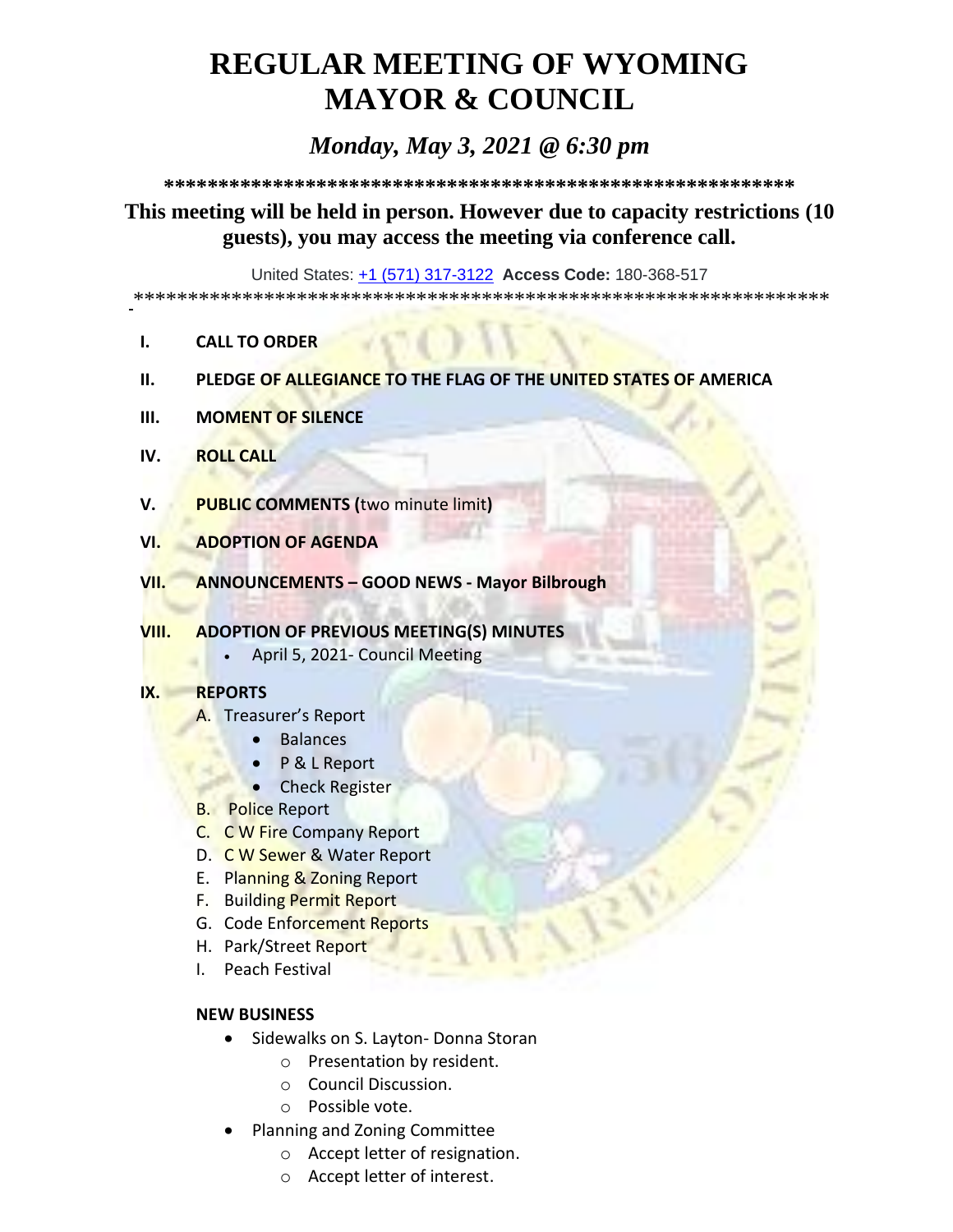# **REGULAR MEETING OF WYOMING MAYOR & COUNCIL**

# *Monday, May 3, 2021 @ 6:30 pm*

**\*\*\*\*\*\*\*\*\*\*\*\*\*\*\*\*\*\*\*\*\*\*\*\*\*\*\*\*\*\*\*\*\*\*\*\*\*\*\*\*\*\*\*\*\*\*\*\*\*\*\*\*\*\*\*\*\*\***

# **This meeting will be held in person. However due to capacity restrictions (10 guests), you may access the meeting via conference call.**

United States: [+1 \(571\) 317-3122](tel:+15713173122,,180368517) **Access Code:** 180-368-517

\*\*\*\*\*\*\*\*\*\*\*\*\*\*\*\*\*\*\*\*\*\*\*\*\*\*\*\*\*\*\*\*\*\*\*\*\*\*\*\*\*\*\*\*\*\*\*\*\*\*\*\*\*\*\*\*\*\*\*\*\*\*\*\*

- **I. CALL TO ORDER**
- **II. PLEDGE OF ALLEGIANCE TO THE FLAG OF THE UNITED STATES OF AMERICA**
- **III. MOMENT OF SILENCE**
- **IV. ROLL CALL**
- **V. PUBLIC COMMENTS (**two minute limit**)**
- **VI. ADOPTION OF AGENDA**
- **VII. ANNOUNCEMENTS – GOOD NEWS - Mayor Bilbrough**
- **VIII. ADOPTION OF PREVIOUS MEETING(S) MINUTES**
	- April 5, 2021- Council Meeting

#### **IX. REPORTS**

- A. Treasurer's Report
	- Balances
	- P & L Report
	- Check Register
- B. Police Report
- C. C W Fire Company Report
- D. C W Sewer & Water Report
- E. Planning & Zoning Report
- F. Building Permit Report
- G. Code Enforcement Reports
- H. Park/Street Report
- I. Peach Festival

#### **NEW BUSINESS**

- Sidewalks on S. Layton- Donna Storan
	- o Presentation by resident.
	- o Council Discussion.
	- o Possible vote.
- Planning and Zoning Committee
	- o Accept letter of resignation.
	- o Accept letter of interest.